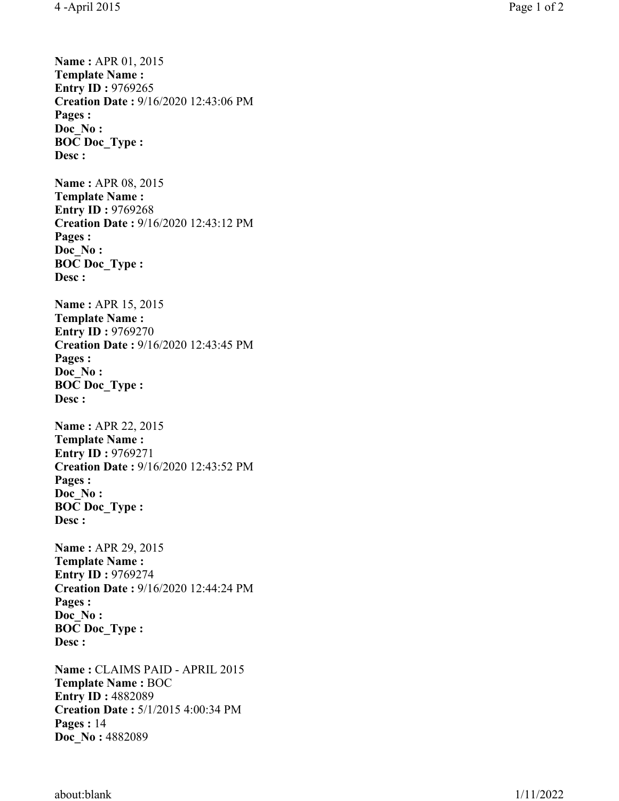**Name :** APR 01, 2015 **Template Name : Entry ID: 9769265 Creation Date :** 9/16/2020 12:43:06 PM **Pages : Doc\_No : BOC Doc\_Type : Desc : Name : APR 08, 2015 Template Name : Entry ID :** 9769268 **Creation Date :** 9/16/2020 12:43:12 PM **Pages : Doc\_No : BOC Doc\_Type : Desc : Name : APR 15, 2015 Template Name : Entry ID: 9769270 Creation Date :** 9/16/2020 12:43:45 PM **Pages : Doc\_No : BOC Doc\_Type : Desc : Name :** APR 22, 2015 **Template Name : Entry ID: 9769271 Creation Date :** 9/16/2020 12:43:52 PM **Pages : Doc\_No : BOC Doc\_Type : Desc : Name :** APR 29, 2015 **Template Name : Entry ID: 9769274 Creation Date :** 9/16/2020 12:44:24 PM **Pages : Doc\_No : BOC Doc\_Type : Desc : Name :** CLAIMS PAID - APRIL 2015 **Template Name :** BOC **Entry ID: 4882089 Creation Date :** 5/1/2015 4:00:34 PM **Pages :** 14 **Doc\_No :** 4882089